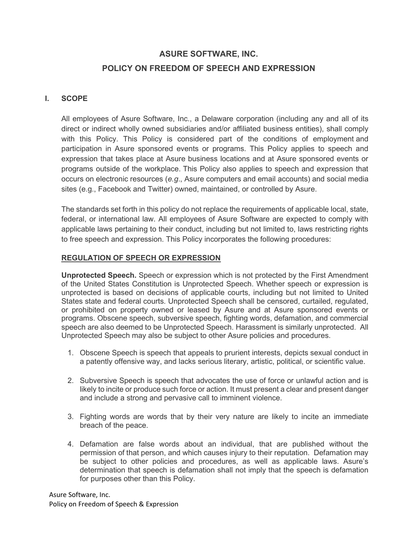## ASURE SOFTWARE, INC. POLICY ON FREEDOM OF SPEECH AND EXPRESSION

## I. SCOPE

All employees of Asure Software, Inc., a Delaware corporation (including any and all of its direct or indirect wholly owned subsidiaries and/or affiliated business entities), shall comply with this Policy. This Policy is considered part of the conditions of employment and participation in Asure sponsored events or programs. This Policy applies to speech and expression that takes place at Asure business locations and at Asure sponsored events or programs outside of the workplace. This Policy also applies to speech and expression that occurs on electronic resources (e.g., Asure computers and email accounts) and social media sites (e.g., Facebook and Twitter) owned, maintained, or controlled by Asure.

The standards set forth in this policy do not replace the requirements of applicable local, state, federal, or international law. All employees of Asure Software are expected to comply with applicable laws pertaining to their conduct, including but not limited to, laws restricting rights to free speech and expression. This Policy incorporates the following procedures:

## REGULATION OF SPEECH OR EXPRESSION

Unprotected Speech. Speech or expression which is not protected by the First Amendment of the United States Constitution is Unprotected Speech. Whether speech or expression is unprotected is based on decisions of applicable courts, including but not limited to United States state and federal courts. Unprotected Speech shall be censored, curtailed, regulated, or prohibited on property owned or leased by Asure and at Asure sponsored events or programs. Obscene speech, subversive speech, fighting words, defamation, and commercial speech are also deemed to be Unprotected Speech. Harassment is similarly unprotected. All Unprotected Speech may also be subject to other Asure policies and procedures.

- 1. Obscene Speech is speech that appeals to prurient interests, depicts sexual conduct in a patently offensive way, and lacks serious literary, artistic, political, or scientific value.
- 2. Subversive Speech is speech that advocates the use of force or unlawful action and is likely to incite or produce such force or action. It must present a clear and present danger and include a strong and pervasive call to imminent violence.
- 3. Fighting words are words that by their very nature are likely to incite an immediate breach of the peace.
- 4. Defamation are false words about an individual, that are published without the permission of that person, and which causes injury to their reputation. Defamation may be subject to other policies and procedures, as well as applicable laws. Asure's determination that speech is defamation shall not imply that the speech is defamation for purposes other than this Policy.

Asure Software, Inc. Policy on Freedom of Speech & Expression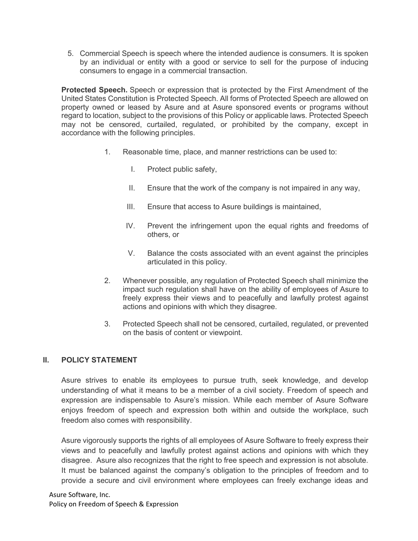5. Commercial Speech is speech where the intended audience is consumers. It is spoken by an individual or entity with a good or service to sell for the purpose of inducing consumers to engage in a commercial transaction.

Protected Speech. Speech or expression that is protected by the First Amendment of the United States Constitution is Protected Speech. All forms of Protected Speech are allowed on property owned or leased by Asure and at Asure sponsored events or programs without regard to location, subject to the provisions of this Policy or applicable laws. Protected Speech may not be censored, curtailed, regulated, or prohibited by the company, except in accordance with the following principles.

- 1. Reasonable time, place, and manner restrictions can be used to:
	- I. Protect public safety,
	- II. Ensure that the work of the company is not impaired in any way,
	- III. Ensure that access to Asure buildings is maintained,
	- IV. Prevent the infringement upon the equal rights and freedoms of others, or
	- V. Balance the costs associated with an event against the principles articulated in this policy.
- 2. Whenever possible, any regulation of Protected Speech shall minimize the impact such regulation shall have on the ability of employees of Asure to freely express their views and to peacefully and lawfully protest against actions and opinions with which they disagree.
- 3. Protected Speech shall not be censored, curtailed, regulated, or prevented on the basis of content or viewpoint.

## II. POLICY STATEMENT

Asure strives to enable its employees to pursue truth, seek knowledge, and develop understanding of what it means to be a member of a civil society. Freedom of speech and expression are indispensable to Asure's mission. While each member of Asure Software enjoys freedom of speech and expression both within and outside the workplace, such freedom also comes with responsibility.

Asure vigorously supports the rights of all employees of Asure Software to freely express their views and to peacefully and lawfully protest against actions and opinions with which they disagree. Asure also recognizes that the right to free speech and expression is not absolute. It must be balanced against the company's obligation to the principles of freedom and to provide a secure and civil environment where employees can freely exchange ideas and